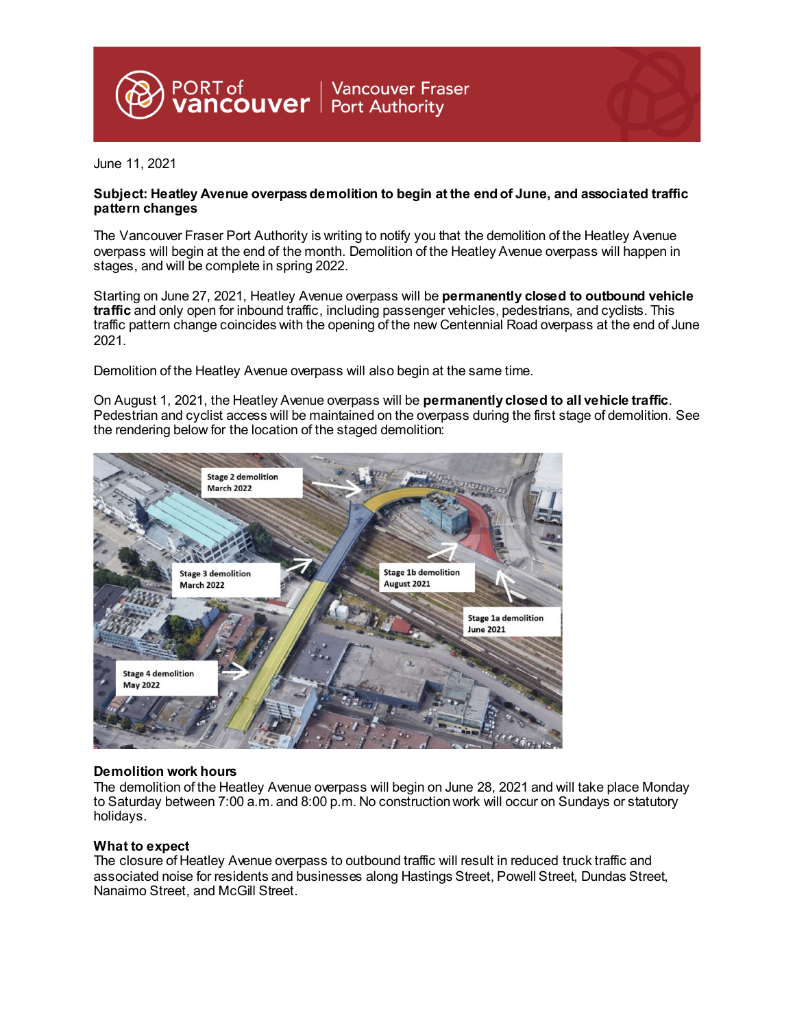

June 11, 2021

## **Subject: Heatley Avenue overpass demolition to begin at the end of June, and associated traffic pattern changes**

The Vancouver Fraser Port Authority is writing to notify you that the demolition of the Heatley Avenue overpass will begin at the end of the month. Demolition of the Heatley Avenue overpass will happen in stages, and will be complete in spring 2022.

Starting on June 27, 2021, Heatley Avenue overpass will be **permanently closed to outbound vehicle traffic** and only open for inbound traffic, including passenger vehicles, pedestrians, and cyclists. This traffic pattern change coincides with the opening of the new Centennial Road overpass at the end of June 2021.

Demolition of the Heatley Avenue overpass will also begin at the same time.

On August 1, 2021, the Heatley Avenue overpass will be **permanently closed to all vehicle traffic**. Pedestrian and cyclist access will be maintained on the overpass during the first stage of demolition. See the rendering below for the location of the staged demolition:



## **Demolition work hours**

The demolition of the Heatley Avenue overpass will begin on June 28, 2021 and will take place Monday to Saturday between 7:00 a.m. and 8:00 p.m. No construction work will occur on Sundays or statutory holidays.

## **What to expect**

The closure of Heatley Avenue overpass to outbound traffic will result in reduced truck traffic and associated noise for residents and businesses along Hastings Street, Powell Street, Dundas Street, Nanaimo Street, and McGill Street.